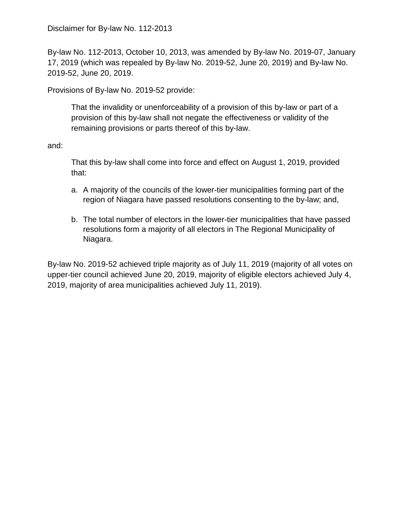By-law No. 112-2013, October 10, 2013, was amended by By-law No. 2019-07, January 17, 2019 (which was repealed by By-law No. 2019-52, June 20, 2019) and By-law No. 2019-52, June 20, 2019.

Provisions of By-law No. 2019-52 provide:

That the invalidity or unenforceability of a provision of this by-law or part of a provision of this by-law shall not negate the effectiveness or validity of the remaining provisions or parts thereof of this by-law.

and:

That this by-law shall come into force and effect on August 1, 2019, provided that:

- a. A majority of the councils of the lower-tier municipalities forming part of the region of Niagara have passed resolutions consenting to the by-law; and,
- b. The total number of electors in the lower-tier municipalities that have passed resolutions form a majority of all electors in The Regional Municipality of Niagara.

By-law No. 2019-52 achieved triple majority as of July 11, 2019 (majority of all votes on upper-tier council achieved June 20, 2019, majority of eligible electors achieved July 4, 2019, majority of area municipalities achieved July 11, 2019).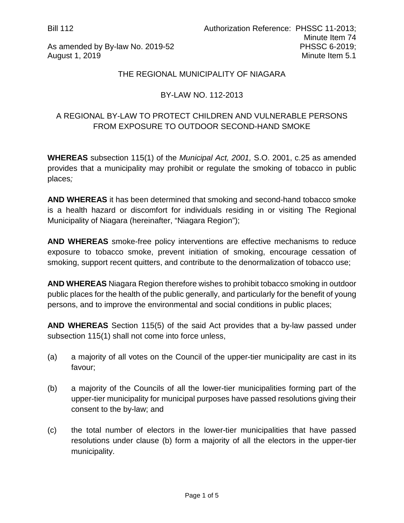## THE REGIONAL MUNICIPALITY OF NIAGARA

## BY-LAW NO. 112-2013

# A REGIONAL BY-LAW TO PROTECT CHILDREN AND VULNERABLE PERSONS FROM EXPOSURE TO OUTDOOR SECOND-HAND SMOKE

**WHEREAS** subsection 115(1) of the *Municipal Act, 2001,* S.O. 2001, c.25 as amended provides that a municipality may prohibit or regulate the smoking of tobacco in public places*;*

**AND WHEREAS** it has been determined that smoking and second-hand tobacco smoke is a health hazard or discomfort for individuals residing in or visiting The Regional Municipality of Niagara (hereinafter, "Niagara Region");

**AND WHEREAS** smoke-free policy interventions are effective mechanisms to reduce exposure to tobacco smoke, prevent initiation of smoking, encourage cessation of smoking, support recent quitters, and contribute to the denormalization of tobacco use;

**AND WHEREAS** Niagara Region therefore wishes to prohibit tobacco smoking in outdoor public places for the health of the public generally, and particularly for the benefit of young persons, and to improve the environmental and social conditions in public places;

**AND WHEREAS** Section 115(5) of the said Act provides that a by-law passed under subsection 115(1) shall not come into force unless,

- (a) a majority of all votes on the Council of the upper-tier municipality are cast in its favour;
- (b) a majority of the Councils of all the lower-tier municipalities forming part of the upper-tier municipality for municipal purposes have passed resolutions giving their consent to the by-law; and
- (c) the total number of electors in the lower-tier municipalities that have passed resolutions under clause (b) form a majority of all the electors in the upper-tier municipality.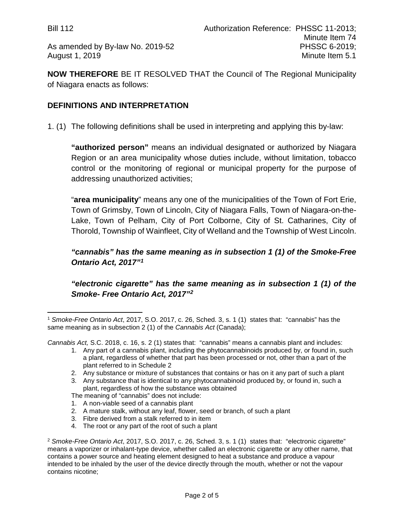**NOW THEREFORE** BE IT RESOLVED THAT the Council of The Regional Municipality of Niagara enacts as follows:

## **DEFINITIONS AND INTERPRETATION**

1. (1) The following definitions shall be used in interpreting and applying this by-law:

**"authorized person"** means an individual designated or authorized by Niagara Region or an area municipality whose duties include, without limitation, tobacco control or the monitoring of regional or municipal property for the purpose of addressing unauthorized activities;

"**area municipality**" means any one of the municipalities of the Town of Fort Erie, Town of Grimsby, Town of Lincoln, City of Niagara Falls, Town of Niagara-on-the-Lake, Town of Pelham, City of Port Colborne, City of St. Catharines, City of Thorold, Township of Wainfleet, City of Welland and the Township of West Lincoln.

*"cannabis" has the same meaning as in subsection 1 (1) of the Smoke-Free Ontario Act, 2017"[1](#page-2-0)*

*"electronic cigarette" has the same meaning as in subsection 1 (1) of the Smoke- Free Ontario Act, 2017["2](#page-2-1)*

*Cannabis Act,* S.C. 2018, c. 16, s. 2 (1) states that: "cannabis" means a cannabis plant and includes:

- 1. Any part of a cannabis plant, including the phytocannabinoids produced by, or found in, such a plant, regardless of whether that part has been processed or not, other than a part of the plant referred to in Schedule 2
- 2. Any substance or mixture of substances that contains or has on it any part of such a plant
- 3. Any substance that is identical to any phytocannabinoid produced by, or found in, such a plant, regardless of how the substance was obtained

The meaning of "cannabis" does not include:

- 1. A non-viable seed of a cannabis plant
- 2. A mature stalk, without any leaf, flower, seed or branch, of such a plant
- 3. Fibre derived from a stalk referred to in item
- 4. The root or any part of the root of such a plant

<span id="page-2-0"></span>l <sup>1</sup> *Smoke-Free Ontario Act*, 2017, S.O. 2017, c. 26, Sched. 3, s. 1 (1) states that: "cannabis" has the same meaning as in subsection 2 (1) of the *Cannabis Act* (Canada);

<span id="page-2-1"></span><sup>2</sup> *Smoke-Free Ontario Act*, 2017, S.O. 2017, c. 26, Sched. 3, s. 1 (1) states that: "electronic cigarette" means a vaporizer or inhalant-type device, whether called an electronic cigarette or any other name, that contains a power source and heating element designed to heat a substance and produce a vapour intended to be inhaled by the user of the device directly through the mouth, whether or not the vapour contains nicotine;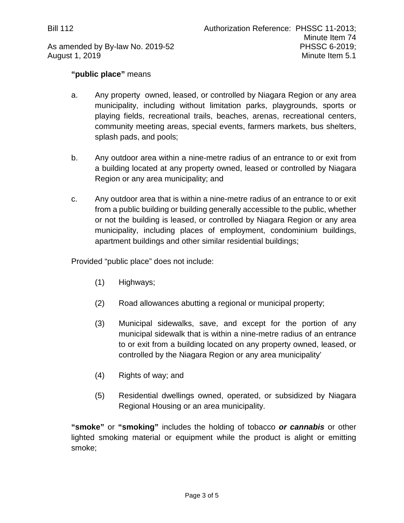Bill 112 Authorization Reference: PHSSC 11-2013; Minute Item 74 As amended by By-law No. 2019-52 PHSSC 6-2019; August 1, 2019 **Minute Item 5.1** 

#### **"public place"** means

- a. Any property owned, leased, or controlled by Niagara Region or any area municipality, including without limitation parks, playgrounds, sports or playing fields, recreational trails, beaches, arenas, recreational centers, community meeting areas, special events, farmers markets, bus shelters, splash pads, and pools;
- b. Any outdoor area within a nine-metre radius of an entrance to or exit from a building located at any property owned, leased or controlled by Niagara Region or any area municipality; and
- c. Any outdoor area that is within a nine-metre radius of an entrance to or exit from a public building or building generally accessible to the public, whether or not the building is leased, or controlled by Niagara Region or any area municipality, including places of employment, condominium buildings, apartment buildings and other similar residential buildings;

Provided "public place" does not include:

- (1) Highways;
- (2) Road allowances abutting a regional or municipal property;
- (3) Municipal sidewalks, save, and except for the portion of any municipal sidewalk that is within a nine-metre radius of an entrance to or exit from a building located on any property owned, leased, or controlled by the Niagara Region or any area municipality'
- (4) Rights of way; and
- (5) Residential dwellings owned, operated, or subsidized by Niagara Regional Housing or an area municipality.

**"smoke"** or **"smoking"** includes the holding of tobacco *or cannabis* or other lighted smoking material or equipment while the product is alight or emitting smoke;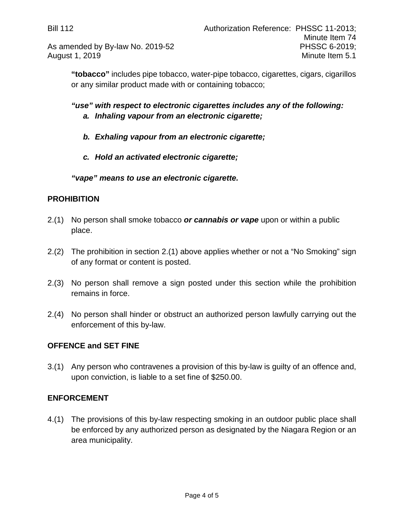August 1, 2019

**"tobacco"** includes pipe tobacco, water-pipe tobacco, cigarettes, cigars, cigarillos or any similar product made with or containing tobacco;

*"use" with respect to electronic cigarettes includes any of the following: a. Inhaling vapour from an electronic cigarette;*

- *b. Exhaling vapour from an electronic cigarette;*
- *c. Hold an activated electronic cigarette;*

*"vape" means to use an electronic cigarette.*

# **PROHIBITION**

- 2.(1) No person shall smoke tobacco *or cannabis or vape* upon or within a public place.
- 2.(2) The prohibition in section 2.(1) above applies whether or not a "No Smoking" sign of any format or content is posted.
- 2.(3) No person shall remove a sign posted under this section while the prohibition remains in force.
- 2.(4) No person shall hinder or obstruct an authorized person lawfully carrying out the enforcement of this by-law.

# **OFFENCE and SET FINE**

3.(1) Any person who contravenes a provision of this by-law is guilty of an offence and, upon conviction, is liable to a set fine of \$250.00.

## **ENFORCEMENT**

4.(1) The provisions of this by-law respecting smoking in an outdoor public place shall be enforced by any authorized person as designated by the Niagara Region or an area municipality.